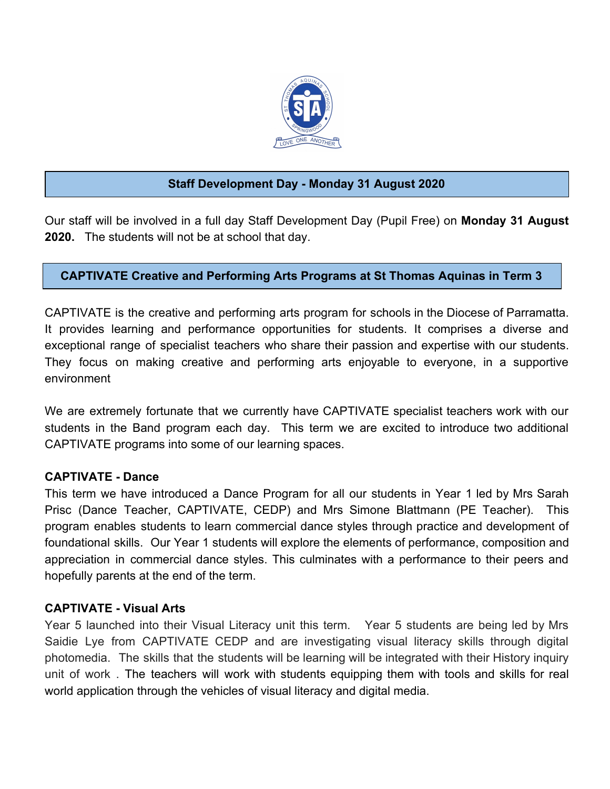

# **Staff Development Day - Monday 31 August 2020**

Our staff will be involved in a full day Staff Development Day (Pupil Free) on **Monday 31 August 2020.** The students will not be at school that day.

## **CAPTIVATE Creative and Performing Arts Programs at St Thomas Aquinas in Term 3**

CAPTIVATE is the creative and performing arts program for schools in the Diocese of Parramatta. It provides learning and performance opportunities for students. It comprises a diverse and exceptional range of specialist teachers who share their passion and expertise with our students. They focus on making creative and performing arts enjoyable to everyone, in a supportive environment

We are extremely fortunate that we currently have CAPTIVATE specialist teachers work with our students in the Band program each day. This term we are excited to introduce two additional CAPTIVATE programs into some of our learning spaces.

#### **CAPTIVATE - Dance**

This term we have introduced a Dance Program for all our students in Year 1 led by Mrs Sarah Prisc (Dance Teacher, CAPTIVATE, CEDP) and Mrs Simone Blattmann (PE Teacher). This program enables students to learn commercial dance styles through practice and development of foundational skills. Our Year 1 students will explore the elements of performance, composition and appreciation in commercial dance styles. This culminates with a performance to their peers and hopefully parents at the end of the term.

#### **CAPTIVATE - Visual Arts**

Year 5 launched into their Visual Literacy unit this term. Year 5 students are being led by Mrs Saidie Lye from CAPTIVATE CEDP and are investigating visual literacy skills through digital photomedia. The skills that the students will be learning will be integrated with their History inquiry unit of work . The teachers will work with students equipping them with tools and skills for real world application through the vehicles of visual literacy and digital media.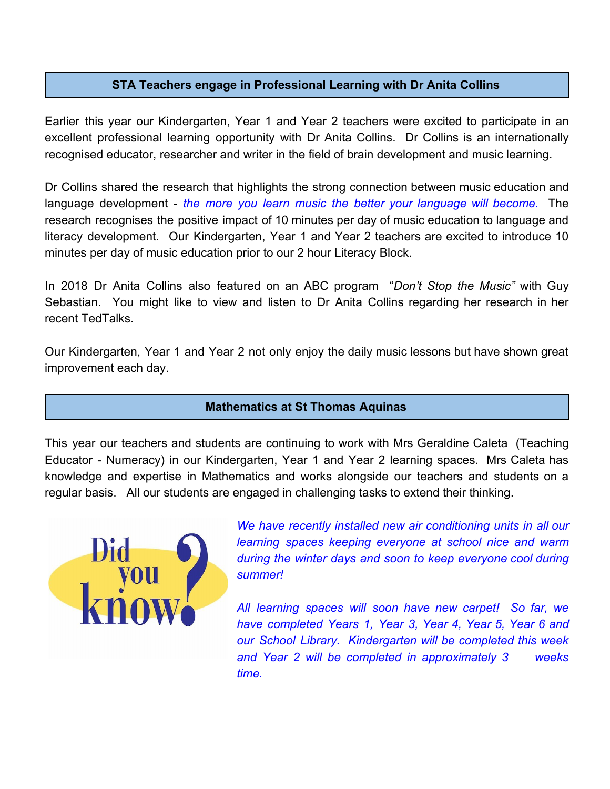## **STA Teachers engage in Professional Learning with Dr Anita Collins**

Earlier this year our Kindergarten, Year 1 and Year 2 teachers were excited to participate in an excellent professional learning opportunity with Dr Anita Collins. Dr Collins is an internationally recognised educator, researcher and writer in the field of brain development and music learning.

Dr Collins shared the research that highlights the strong connection between music education and language development - *the more you learn music the better your language will become.* The research recognises the positive impact of 10 minutes per day of music education to language and literacy development. Our Kindergarten, Year 1 and Year 2 teachers are excited to introduce 10 minutes per day of music education prior to our 2 hour Literacy Block.

In 2018 Dr Anita Collins also featured on an ABC program "*Don't Stop the Music"* with Guy Sebastian. You might like to view and listen to Dr Anita Collins regarding her research in her recent TedTalks.

Our Kindergarten, Year 1 and Year 2 not only enjoy the daily music lessons but have shown great improvement each day.

#### **Mathematics at St Thomas Aquinas**

This year our teachers and students are continuing to work with Mrs Geraldine Caleta (Teaching Educator - Numeracy) in our Kindergarten, Year 1 and Year 2 learning spaces. Mrs Caleta has knowledge and expertise in Mathematics and works alongside our teachers and students on a regular basis. All our students are engaged in challenging tasks to extend their thinking.



*We have recently installed new air conditioning units in all our learning spaces keeping everyone at school nice and warm during the winter days and soon to keep everyone cool during summer!*

*All learning spaces will soon have new carpet! So far, we have completed Years 1, Year 3, Year 4, Year 5, Year 6 and our School Library. Kindergarten will be completed this week and Year 2 will be completed in approximately 3 weeks time.*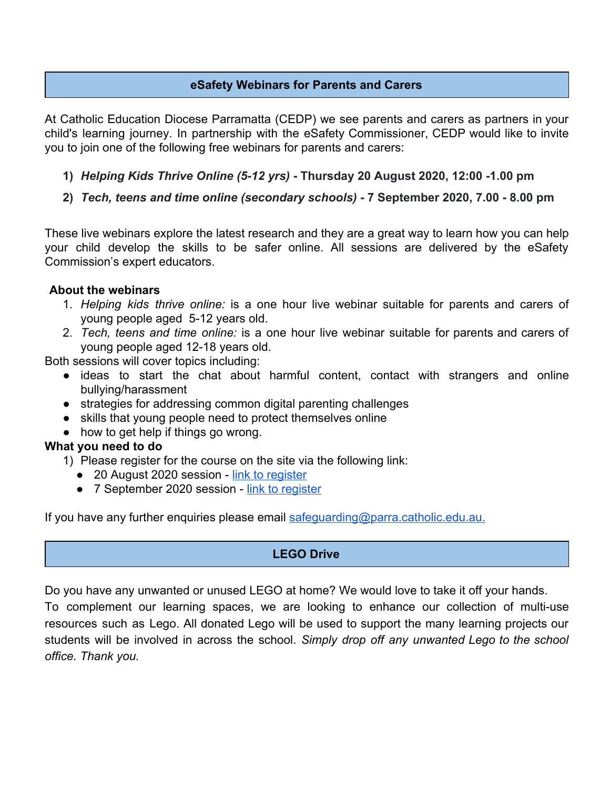## **eSafety Webinars for Parents and Carers**

At Catholic Education Diocese Parramatta (CEDP) we see parents and carers as partners in your child's learning journey. In partnership with the eSafety Commissioner, CEDP would like to invite you to join one of the following free webinars for parents and carers:

- **1)** *Helping Kids Thrive Online (5-12 yrs)*  **Thursday 20 August 2020, 12:00 -1.00 pm**
- **2)** *Tech, teens and time online (secondary schools)* **7 September 2020, 7.00 8.00 pm**

These live webinars explore the latest research and they are a great way to learn how you can help your child develop the skills to be safer online. All sessions are delivered by the eSafety Commission's expert educators.

#### **About the webinars**

- 1. *Helping kids thrive online:* is a one hour live webinar suitable for parents and carers of young people aged 5-12 years old.
- 2. *Tech, teens and time online:* is a one hour live webinar suitable for parents and carers of young people aged 12-18 years old.

Both sessions will cover topics including:

- ideas to start the chat about harmful content, contact with strangers and online bullying/harassment
- strategies for addressing common digital parenting challenges
- skills that young people need to protect themselves online
- how to get help if things go wrong.

#### **What you need to do**

1) Please register for the course on the site via the following link:

- 20 August 2020 session - [link to register](https://attendee.gotowebinar.com/register/2961544873308901646)
- 7 September 2020 session [link to register](https://attendee.gotowebinar.com/register/3269364148621148942)

If you have any further enquiries please email [safeguarding@parra.catholic.edu.au](mailto:safeguarding@parra.catholic.edu.au).

#### **LEGO Drive**

Do you have any unwanted or unused LEGO at home? We would love to take it off your hands.

To complement our learning spaces, we are looking to enhance our collection of multi-use resources such as Lego. All donated Lego will be used to support the many learning projects our students will be involved in across the school. *Simply drop off any unwanted Lego to the school office. Thank you.*